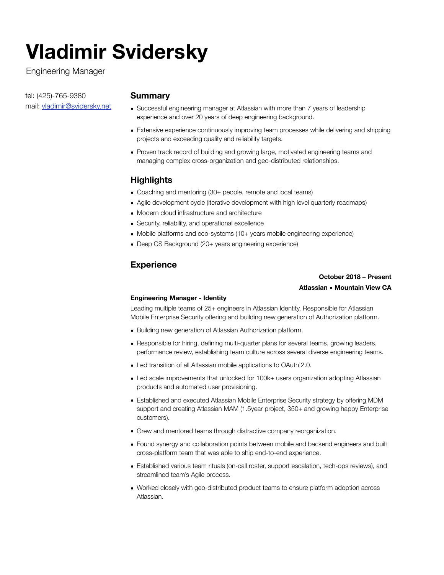# **Vladimir Svidersky**

Engineering Manager

tel: (425)-765-9380 mail: [vladimir@svidersky.net](mailto:vladimir@svidersky.net)

# **Summary**

- Successful engineering manager at Atlassian with more than 7 years of leadership experience and over 20 years of deep engineering background.
- Extensive experience continuously improving team processes while delivering and shipping projects and exceeding quality and reliability targets.
- Proven track record of building and growing large, motivated engineering teams and managing complex cross-organization and geo-distributed relationships.

# **Highlights**

- Coaching and mentoring (30+ people, remote and local teams)
- Agile development cycle (iterative development with high level quarterly roadmaps)
- Modern cloud infrastructure and architecture
- Security, reliability, and operational excellence
- Mobile platforms and eco-systems (10+ years mobile engineering experience)
- Deep CS Background (20+ years engineering experience)

# **Experience**

# **October 2018 – Present Atlassian** ▪︎ **Mountain View CA**

## **Engineering Manager - Identity**

Leading multiple teams of 25+ engineers in Atlassian Identity. Responsible for Atlassian Mobile Enterprise Security offering and building new generation of Authorization platform.

- Building new generation of Atlassian Authorization platform.
- Responsible for hiring, defining multi-quarter plans for several teams, growing leaders, performance review, establishing team culture across several diverse engineering teams.
- Led transition of all Atlassian mobile applications to OAuth 2.0.
- Led scale improvements that unlocked for 100k+ users organization adopting Atlassian products and automated user provisioning.
- Established and executed Atlassian Mobile Enterprise Security strategy by offering MDM support and creating Atlassian MAM (1.5year project, 350+ and growing happy Enterprise customers).
- Grew and mentored teams through distractive company reorganization.
- Found synergy and collaboration points between mobile and backend engineers and built cross-platform team that was able to ship end-to-end experience.
- Established various team rituals (on-call roster, support escalation, tech-ops reviews), and streamlined team's Agile process.
- Worked closely with geo-distributed product teams to ensure platform adoption across Atlassian.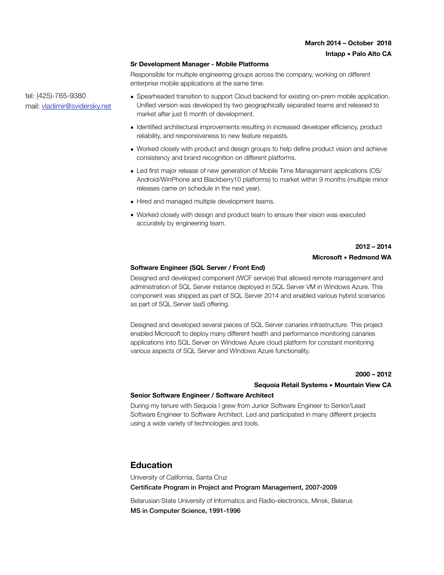#### **Sr Development Manager - Mobile Platforms**

Responsible for multiple engineering groups across the company, working on different enterprise mobile applications at the same time.

• Spearheaded transition to support Cloud backend for existing on-prem mobile application. Unified version was developed by two geographically separated teams and released to market after just 6 month of development.

- Identified architectural improvements resulting in increased developer efficiency, product reliability, and responsiveness to new feature requests.
- Worked closely with product and design groups to help define product vision and achieve consistency and brand recognition on different platforms.
- Led first major release of new generation of Mobile Time Management applications (OS/ Android/WinPhone and Blackberry10 platforms) to market within 9 months (multiple minor releases came on schedule in the next year).
- Hired and managed multiple development teams.
- Worked closely with design and product team to ensure their vision was executed accurately by engineering team.

## **2012 – 2014 Microsoft** ▪︎ **Redmond WA**

#### **Software Engineer (SQL Server / Front End)**

Designed and developed component (WCF service) that allowed remote management and administration of SQL Server instance deployed in SQL Server VM in Windows Azure. This component was shipped as part of SQL Server 2014 and enabled various hybrid scenarios as part of SQL Server IaaS offering.

Designed and developed several pieces of SQL Server canaries infrastructure. This project enabled Microsoft to deploy many different health and performance monitoring canaries applications into SQL Server on Windows Azure cloud platform for constant monitoring various aspects of SQL Server and Windows Azure functionality.

#### **2000 – 2012**

#### **Sequoia Retail Systems** ▪︎ **Mountain View CA**

#### **Senior Software Engineer / Software Architect**

During my tenure with Sequoia I grew from Junior Software Engineer to Senior/Lead Software Engineer to Software Architect. Led and participated in many different projects using a wide variety of technologies and tools.

## **Education**

University of California, Santa Cruz Certificate Program in Project and Program Management, 2007-2009 Belarusian State University of Informatics and Radio-electronics, Minsk, Belarus

MS in Computer Science, 1991-1996

tel: (425)-765-9380 mail: [vladimir@svidersky.net](mailto:vladimir@svidersky.net)